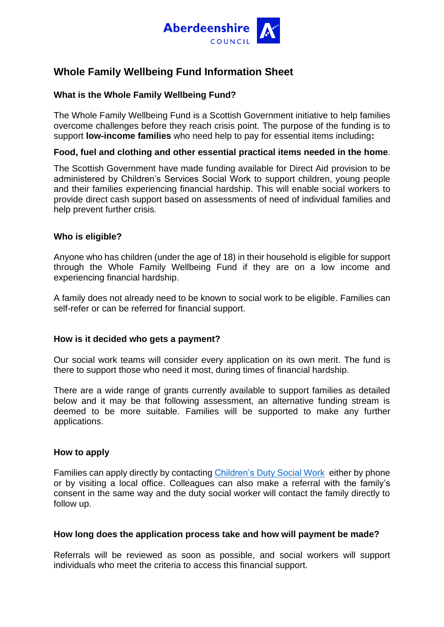

# **Whole Family Wellbeing Fund Information Sheet**

## **What is the Whole Family Wellbeing Fund?**

The Whole Family Wellbeing Fund is a Scottish Government initiative to help families overcome challenges before they reach crisis point. The purpose of the funding is to support **low-income families** who need help to pay for essential items including**:**

### **Food, fuel and clothing and other essential practical items needed in the home**.

The Scottish Government have made funding available for Direct Aid provision to be administered by Children's Services Social Work to support children, young people and their families experiencing financial hardship. This will enable social workers to provide direct cash support based on assessments of need of individual families and help prevent further crisis.

### **Who is eligible?**

Anyone who has children (under the age of 18) in their household is eligible for support through the Whole Family Wellbeing Fund if they are on a low income and experiencing financial hardship.

A family does not already need to be known to social work to be eligible. Families can self-refer or can be referred for financial support.

#### **How is it decided who gets a payment?**

Our social work teams will consider every application on its own merit. The fund is there to support those who need it most, during times of financial hardship.

There are a wide range of grants currently available to support families as detailed below and it may be that following assessment, an alternative funding stream is deemed to be more suitable. Families will be supported to make any further applications.

### **How to apply**

Families can apply directly by contacting [Children's Duty Social Work](https://www.aberdeenshire.gov.uk/children-and-families/children-and-families-team-offices/) either by phone or by visiting a local office. Colleagues can also make a referral with the family's consent in the same way and the duty social worker will contact the family directly to follow up.

#### **How long does the application process take and how will payment be made?**

Referrals will be reviewed as soon as possible, and social workers will support individuals who meet the criteria to access this financial support.